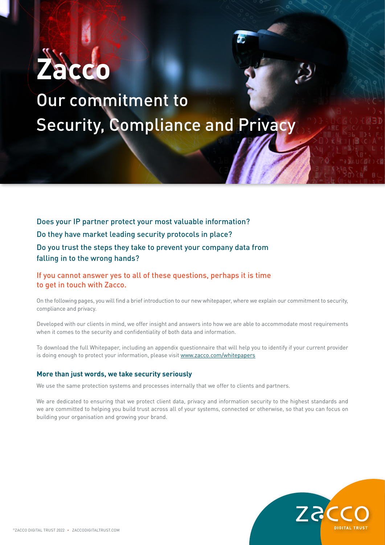

# Our commitment to Security, Compliance and Privacy

Does your IP partner protect your most valuable information? Do they have market leading security protocols in place? Do you trust the steps they take to prevent your company data from falling in to the wrong hands?

# If you cannot answer yes to all of these questions, perhaps it is time to get in touch with Zacco.

On the following pages, you will find a brief introduction to our new whitepaper, where we explain our commitment to security, compliance and privacy.

Developed with our clients in mind, we offer insight and answers into how we are able to accommodate most requirements when it comes to the security and confidentiality of both data and information.

To download the full Whitepaper, including an appendix questionnaire that will help you to identify if your current provider is doing enough to protect your information, please visit www.zacco.com/whitepapers

## **More than just words, we take security seriously**

We use the same protection systems and processes internally that we offer to clients and partners.

We are dedicated to ensuring that we protect client data, privacy and information security to the highest standards and we are committed to helping you build trust across all of your systems, connected or otherwise, so that you can focus on building your organisation and growing your brand.

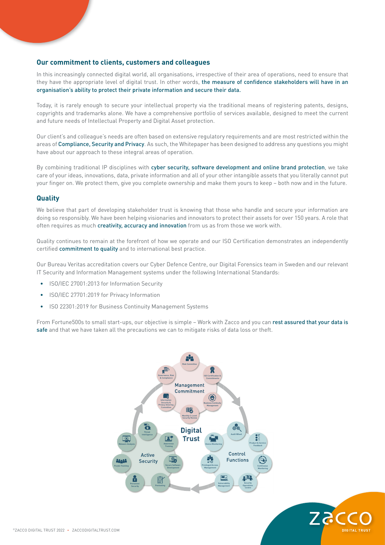#### **Our commitment to clients, customers and colleagues**

In this increasingly connected digital world, all organisations, irrespective of their area of operations, need to ensure that they have the appropriate level of digital trust. In other words, the measure of confidence stakeholders will have in an organisation's ability to protect their private information and secure their data.

Today, it is rarely enough to secure your intellectual property via the traditional means of registering patents, designs, copyrights and trademarks alone. We have a comprehensive portfolio of services available, designed to meet the current and future needs of Intellectual Property and Digital Asset protection.

Our client's and colleague's needs are often based on extensive regulatory requirements and are most restricted within the areas of Compliance, Security and Privacy. As such, the Whitepaper has been designed to address any questions you might have about our approach to these integral areas of operation.

By combining traditional IP disciplines with cyber security, software development and online brand protection, we take care of your ideas, innovations, data, private information and all of your other intangible assets that you literally cannot put your finger on. We protect them, give you complete ownership and make them yours to keep – both now and in the future.

#### **Quality**

We believe that part of developing stakeholder trust is knowing that those who handle and secure your information are doing so responsibly. We have been helping visionaries and innovators to protect their assets for over 150 years. A role that often requires as much creativity, accuracy and innovation from us as from those we work with.

Quality continues to remain at the forefront of how we operate and our ISO Certification demonstrates an independently certified commitment to quality and to international best practice.

Our Bureau Veritas accreditation covers our Cyber Defence Centre, our Digital Forensics team in Sweden and our relevant IT Security and Information Management systems under the following International Standards:

- ISO/IEC 27001:2013 for Information Security
- ISO/IEC 27701:2019 for Privacy Information
- ISO 22301:2019 for Business Continuity Management Systems

From Fortune500s to small start-ups, our objective is simple - Work with Zacco and you can rest assured that your data is safe and that we have taken all the precautions we can to mitigate risks of data loss or theft.